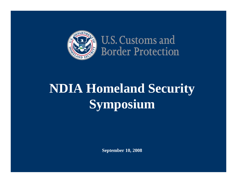

U.S. Customs and **Border Protection** 

# **NDIA Homeland Security Symposium**

**September 10, 2008**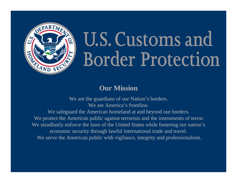

# U.S. Customs and **Border Protection**

#### **Our Mission**

We are the guardians of our Nation's borders. We are America's frontline. We safeguard the American homeland at and beyond our borders. We protect the American public against terrorists and the instruments of terror. We steadfastly enforce the laws of the United States while fostering our nation's economic security through lawful international trade and travel. We serve the American public with vigilance, integrity and professionalism.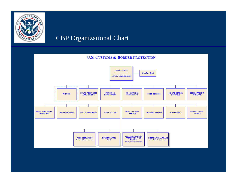

#### CBP Organizational Chart

#### **U.S. CUSTOMS & BORDER PROTECTION**

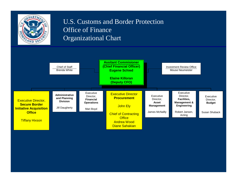

#### U.S. Customs and Border Protection Office of Finance Organizational Chart

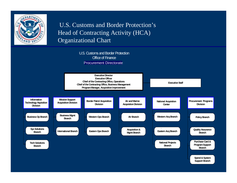

U.S. Customs and Border Protection's Head of Contracting Activity (HCA) Organizational Chart

> U.S. Customs and Border Protection**Office of Finance Procurement Directorate**

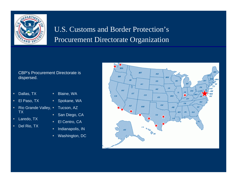

## U.S. Customs and Border Protection's Procurement Directorate Organization

#### CBP's Procurement Directorate is dispersed.

- $\blacksquare$ Dallas, TX
- $\mathbf{H}^{\prime}$  . El Paso, TX
- $\mathbf{u}$  . ■ Rio Grande Valley, ■ TX
- $\blacksquare$ Laredo, TX
- ٠ Del Rio, TX
- Blaine, WA
- Spokane, WA
- Tucson, AZ
	- $\blacksquare$ San Diego, CA
	- ٠ El Centro, CA
	- ٠ Indianapolis, IN
	- $\blacksquare$ Washington, DC

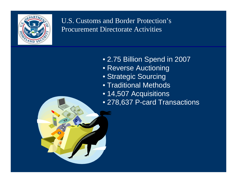

- 2.75 Billion Spend in 2007
- Reverse Auctioning
- Strategic Sourcing
- Traditional Methods
- 14,507 Acquisitions
- 278,637 P-card Transactions

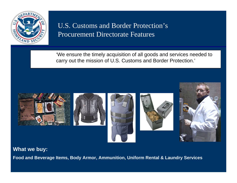

'We ensure the timely acquisition of all goods and services needed to carry out the mission of U.S. Customs and Border Protection.'



**What we buy:**

**Food and Beverage Items, Body Armor, Ammunition, Uniform Rental & Laundry Services**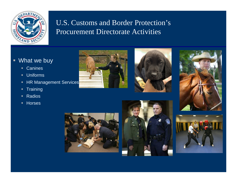

#### ■ What we buy

- $\mathbf{u}$  . Canines
- $\blacksquare$ Uniforms
- ٠ HR Management Services
- ٠ **Training**
- $\blacksquare$ ■ Radios
- $\blacksquare$ Horses











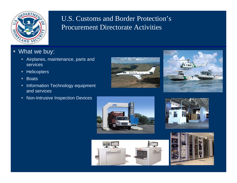

- What we buy:
	- Airplanes, maintenance, parts and services
	- ٠ **Helicopters**
	- $\blacksquare$ **Boats**
	- ٠ Information Technology equipment and services
	- $\blacksquare$ Non-Intrusive Inspection Devices











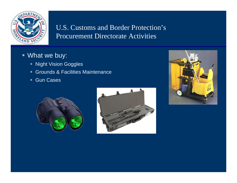

- What we buy:
	- **Night Vision Goggles**
	- Grounds & Facilities Maintenance
	- Gun Cases



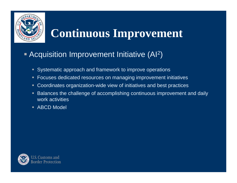

# **Continuous Improvement**

#### **Acquisition Improvement Initiative (Al<sup>2</sup>** )

- **Systematic approach and framework to improve operations**
- ٠ Focuses dedicated resources on managing improvement initiatives
- п Coordinates organization-wide view of initiatives and best practices
- $\blacksquare$  Balances the challenge of accomplishing continuous improvement and daily work activities
- $\blacksquare$ ABCD Model

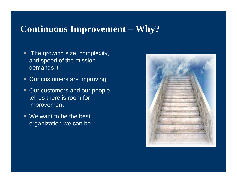## **Continuous Improvement – Why?**

- $\blacksquare$  The growing size, complexity, and speed of the mission demands it
- **Our customers are improving**
- **Our customers and our people** tell us there is room for improvement
- We want to be the best organization we can be

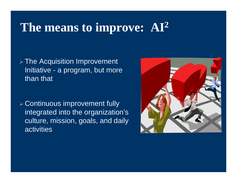# **The means to improve: AI 2**

 $\triangleright$  The Acquisition Improvement Initiative - a program, but more than that

¾ Continuous improvement fully integrated into the organization's culture, mission, goals, and daily activities

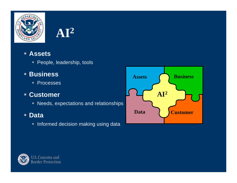



#### **Assets**

- People, leadership, tools
- **Business**
	- $\blacksquare$ **Processes**

### **Customer**

- Needs, expectations and relationships
- **Data**
	- $\textcolor{red}{\bullet}$  Informed decision making using data



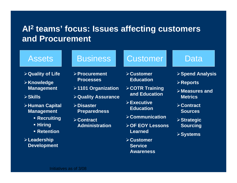## **AI2 teams' focus: Issues affecting customers and Procurement**

### Assets

- ¾**Quality of Life**
- ¾**Knowledge Management**
- ¾**Skills**
- ¾**Human Capital Management**
	- **Recruiting**
	- **Hiring**
	- **Retention**

¾**Leadership Development**

- ¾**Procurement Processes**
- ¾**1101 Organization**
- ¾**Quality Assurance**
- ¾**Disaster Preparedness**
- ¾**Contract Administration**

## Business | Customer | Data

- ¾**Customer Education**
- ¾**COTR Training and Education**
- ¾**Executive Education**
- ¾**Communication**
- ¾**OF EOY Lessons Learned**
- ¾**Customer Service Awareness**

- ¾**Spend Analysis**
- ¾**Reports**
- ¾**Measures and Metrics**
- ¾**Contract Sources**
- ¾**Strategic Sourcing**
- ¾**Systems**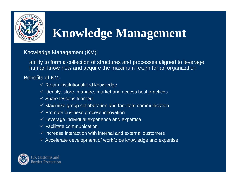

# **Knowledge Management**

Knowledge Management (KM):

ability to form a collection of structures and processes aligned to leverage human know-how and acquire the maximum return for an organization

#### Benefits of KM:

- $\checkmark$  Retain institutionalized knowledge
- $\checkmark$  Identify, store, manage, market and access best practices
- $\checkmark$  Share lessons learned
- $\checkmark$  Maximize group collaboration and facilitate communication
- $\checkmark$  Promote business process innovation
- $\checkmark$  Leverage individual experience and expertise
- $\checkmark$  Facilitate communication
- $\checkmark$  Increase interaction with internal and external customers
- $\checkmark$  Accelerate development of workforce knowledge and expertise

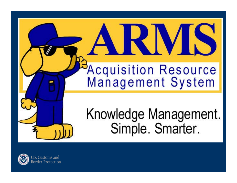